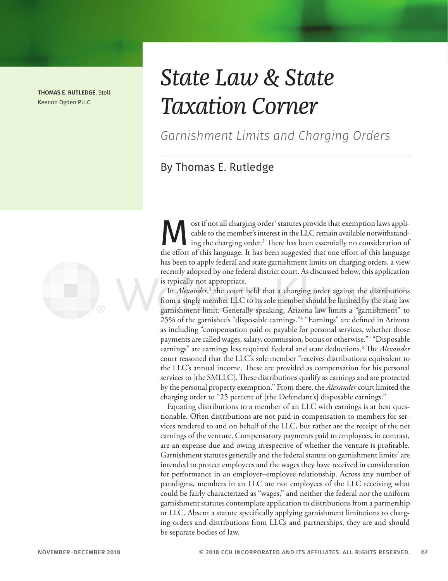THOMAS E. RUTLEDGE, Stoll Keenon Ogden PLLC.

# *State Law & State Taxation Corner*

*Garnishment Limits and Charging Orders*

## By Thomas E. Rutledge

ost if not all charging order<sup>1</sup> statutes provide that exemption laws applicable to the member's interest in the LLC remain available notwithstanding the charging order.<sup>2</sup> There has been essentially no consideration of th cable to the member's interest in the LLC remain available notwithstanding the charging order.2 There has been essentially no consideration of the effort of this language. It has been suggested that one effort of this language has been to apply federal and state garnishment limits on charging orders, a view recently adopted by one federal district court. As discussed below, this application is typically not appropriate.

In *Alexander*, 3 the court held that a charging order against the distributions from a single member LLC to its sole member should be limited by the state law garnishment limit. Generally speaking, Arizona law limits a "garnishment" to 25% of the garnishee's "disposable earnings."4 "Earnings" are defined in Arizona as including "compensation paid or payable for personal services, whether those payments are called wages, salary, commission, bonus or otherwise."5 "Disposable earnings" are earnings less required Federal and state deductions.6 The *Alexander* court reasoned that the LLC's sole member "receives distributions equivalent to the LLC's annual income. These are provided as compensation for his personal services to [the SMLLC]. These distributions qualify as earnings and are protected by the personal property exemption." From there, the *Alexander* court limited the charging order to "25 percent of [the Defendant's] disposable earnings."

Equating distributions to a member of an LLC with earnings is at best questionable. Often distributions are not paid in compensation to members for services rendered to and on behalf of the LLC, but rather are the receipt of the net earnings of the venture. Compensatory payments paid to employees, in contrast, are an expense due and owing irrespective of whether the venture is profitable. Garnishment statutes generally and the federal statute on garnishment limits<sup>7</sup> are intended to protect employees and the wages they have received in consideration for performance in an employer–employee relationship. Across any number of paradigms, members in an LLC are not employees of the LLC receiving what could be fairly characterized as "wages," and neither the federal nor the uniform garnishment statutes contemplate application to distributions from a partnership or LLC. Absent a statute specifically applying garnishment limitations to charging orders and distributions from LLCs and partnerships, they are and should be separate bodies of law.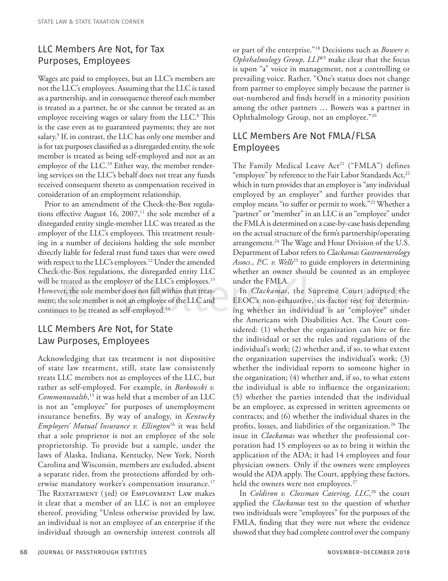### LLC Members Are Not, for Tax Purposes, Employees

Wages are paid to employees, but an LLC's members are not the LLC's employees. Assuming that the LLC is taxed as a partnership, and in consequence thereof each member is treated as a partner, he or she cannot be treated as an employee receiving wages or salary from the LLC.<sup>8</sup> This is the case even as to guaranteed payments; they are not salary.9 If, in contrast, the LLC has only one member and is for tax purposes classified as a disregarded entity, the sole member is treated as being self-employed and not as an employee of the LLC.<sup>10</sup> Either way, the member rendering services on the LLC's behalf does not treat any funds received consequent thereto as compensation received in consideration of an employment relationship.

Prior to an amendment of the Check-the-Box regulations effective August 16, 2007, $11$  the sole member of a disregarded entity single-member LLC was treated as the employer of the LLC's employees. This treatment resulting in a number of decisions holding the sole member directly liable for federal trust fund taxes that were owed with respect to the LLC's employees.<sup>12</sup> Under the amended Check-the-Box regulations, the disregarded entity LLC will be treated as the employer of the LLC's employees.<sup>13</sup> However, the sole member does not fall within that treatment; the sole member is not an employee of the LLC and continues to be treated as self-employed.<sup>14</sup>

#### LLC Members Are Not, for State Law Purposes, Employees

Acknowledging that tax treatment is not dispositive of state law treatment, still, state law consistently treats LLC members not as employees of the LLC, but rather as self-employed. For example, in *Borkowski v. Commonwealth*, 15 it was held that a member of an LLC is not an "employee" for purposes of unemployment insurance benefits. By way of analogy, in *Kentucky Employers' Mutual Insurance v. Ellington*16 it was held that a sole proprietor is not an employee of the sole proprietorship. To provide but a sample, under the laws of Alaska, Indiana, Kentucky, New York, North Carolina and Wisconsin, members are excluded, absent a separate rider, from the protections afforded by otherwise mandatory worker's compensation insurance.<sup>17</sup> The Restatement (3rd) of Employment Law makes it clear that a member of an LLC is not an employee thereof, providing "Unless otherwise provided by law, an individual is not an employee of an enterprise if the individual through an ownership interest controls all

or part of the enterprise."18 Decisions such as *Bowers v. Ophthalmology Group, LLP*19 make clear that the focus is upon "a" voice in management, not a controlling or prevailing voice. Rather, "One's status does not change from partner to employee simply because the partner is out-numbered and finds herself in a minority position among the other partners … Bowers was a partner in Ophthalmology Group, not an employee."20

#### LLC Members Are Not FMLA/FLSA Employees

The Family Medical Leave Act<sup>21</sup> ("FMLA") defines "employee" by reference to the Fair Labor Standards Act,<sup>22</sup> which in turn provides that an employee is "any individual employed by an employer" and further provides that employ means "to suffer or permit to work."23 Whether a "partner" or "member" in an LLC is an "employee" under the FMLA is determined on a case-by-case basis depending on the actual structure of the firm's partnership/operating arrangement.<sup>24</sup> The Wage and Hour Division of the U.S. Department of Labor refers to *Clackamas Gastroenterology*  Assocs., *P.C. v. Wells*<sup>25</sup> to guide employers in determining whether an owner should be counted as an employee under the FMLA.

In *Clackamas*, the Supreme Court adopted the EEOC's non-exhaustive, six-factor test for determining whether an individual is an "employee" under the Americans with Disabilities Act. The Court considered: (1) whether the organization can hire or fire the individual or set the rules and regulations of the individual's work; (2) whether and, if so, to what extent the organization supervises the individual's work; (3) whether the individual reports to someone higher in the organization; (4) whether and, if so, to what extent the individual is able to influence the organization; (5) whether the parties intended that the individual be an employee, as expressed in written agreements or contracts; and (6) whether the individual shares in the profits, losses, and liabilities of the organization.<sup>26</sup> The issue in *Clackamas* was whether the professional corporation had 15 employees so as to bring it within the application of the ADA; it had 14 employees and four physician owners. Only if the owners were employees would the ADA apply. The Court, applying these factors, held the owners were not employees.<sup>27</sup>

In *Coldiron v. Clossman Catering, LLC*, 28 the court applied the *Clackamas* test to the question of whether two individuals were "employees" for the purposes of the FMLA, finding that they were not where the evidence showed that they had complete control over the company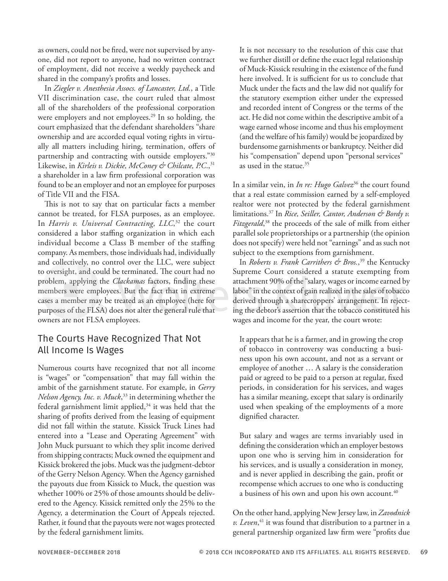as owners, could not be fired, were not supervised by anyone, did not report to anyone, had no written contract of employment, did not receive a weekly paycheck and shared in the company's profits and losses.

In *Ziegler v. Anesthesia Assocs. of Lancaster, Ltd.*, a Title VII discrimination case, the court ruled that almost all of the shareholders of the professional corporation were employers and not employees.<sup>29</sup> In so holding, the court emphasized that the defendant shareholders "share ownership and are accorded equal voting rights in virtually all matters including hiring, termination, offers of partnership and contracting with outside employers."30 Likewise, in *Kirleis v. Dickie, McConey & Chilcate*, *P.C.*,<sup>31</sup> a shareholder in a law firm professional corporation was found to be an employer and not an employee for purposes of Title VII and the FISA.

This is not to say that on particular facts a member cannot be treated, for FLSA purposes, as an employee. In *Harris v. Universal Contracting, LLC*, 32 the court considered a labor staffing organization in which each individual become a Class B member of the staffing company. As members, those individuals had, individually and collectively, no control over the LLC, were subject to oversight, and could be terminated. The court had no problem, applying the *Clackamas* factors, finding these members were employees. But the fact that in extreme cases a member may be treated as an employee (here for purposes of the FLSA) does not alter the general rule that owners are not FLSA employees.

#### The Courts Have Recognized That Not All Income Is Wages

Numerous courts have recognized that not all income is "wages" or "compensation" that may fall within the ambit of the garnishment statute. For example, in *Gerry Nelson Agency, Inc. v. Muck*, 33 in determining whether the federal garnishment limit applied, $34$  it was held that the sharing of profits derived from the leasing of equipment did not fall within the statute. Kissick Truck Lines had entered into a "Lease and Operating Agreement" with John Muck pursuant to which they split income derived from shipping contracts; Muck owned the equipment and Kissick brokered the jobs. Muck was the judgment-debtor of the Gerry Nelson Agency. When the Agency garnished the payouts due from Kissick to Muck, the question was whether 100% or 25% of those amounts should be delivered to the Agency. Kissick remitted only the 25% to the Agency, a determination the Court of Appeals rejected. Rather, it found that the payouts were not wages protected by the federal garnishment limits.

It is not necessary to the resolution of this case that we further distill or define the exact legal relationship of Muck-Kissick resulting in the existence of the fund here involved. It is sufficient for us to conclude that Muck under the facts and the law did not qualify for the statutory exemption either under the expressed and recorded intent of Congress or the terms of the act. He did not come within the descriptive ambit of a wage earned whose income and thus his employment (and the welfare of his family) would be jeopardized by burdensome garnishments or bankruptcy. Neither did his "compensation" depend upon "personal services" as used in the statue.<sup>35</sup>

In a similar vein, in *In re: Hugo Galvez*36 the court found that a real estate commission earned by a self-employed realtor were not protected by the federal garnishment limitations.37 In *Rice, Seiller, Cantor, Anderson & Bordy v. Fitzgerald*, 38 the proceeds of the sale of milk from either parallel sole proprietorships or a partnership (the opinion does not specify) were held not "earnings" and as such not subject to the exemptions from garnishment.

In *Roberts v. Frank Carrithers & Bros.*, 39 the Kentucky Supreme Court considered a statute exempting from attachment 90% of the "salary, wages or income earned by labor" in the context of gain realized in the sales of tobacco derived through a sharecroppers' arrangement. In rejecting the debtor's assertion that the tobacco constituted his wages and income for the year, the court wrote:

It appears that he is a farmer, and in growing the crop of tobacco in controversy was conducting a business upon his own account, and not as a servant or employee of another … A salary is the consideration paid or agreed to be paid to a person at regular, fixed periods, in consideration for his services, and wages has a similar meaning, except that salary is ordinarily used when speaking of the employments of a more dignified character.

But salary and wages are terms invariably used in defining the consideration which an employer bestows upon one who is serving him in consideration for his services, and is usually a consideration in money, and is never applied in describing the gain, profit or recompense which accrues to one who is conducting a business of his own and upon his own account.<sup>40</sup>

On the other hand, applying New Jersey law, in *Zavodnick v. Leven*, 41 it was found that distribution to a partner in a general partnership organized law firm were "profits due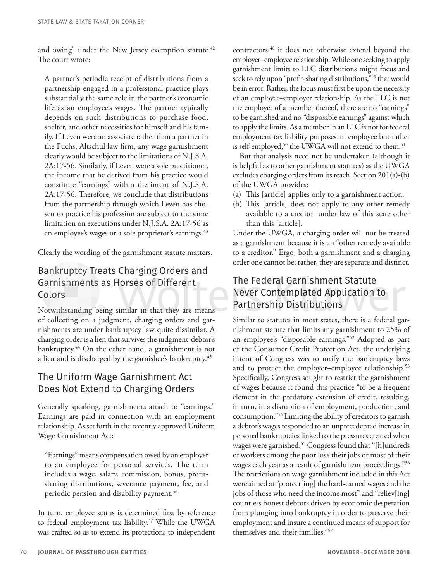and owing" under the New Jersey exemption statute.<sup>42</sup> The court wrote:

A partner's periodic receipt of distributions from a partnership engaged in a professional practice plays substantially the same role in the partner's economic life as an employee's wages. The partner typically depends on such distributions to purchase food, shelter, and other necessities for himself and his family. If Leven were an associate rather than a partner in the Fuchs, Altschul law firm, any wage garnishment clearly would be subject to the limitations of N.J.S.A. 2A:17-56. Similarly, if Leven were a sole practitioner, the income that he derived from his practice would constitute "earnings" within the intent of N.J.S.A. 2A:17-56. Therefore, we conclude that distributions from the partnership through which Leven has chosen to practice his profession are subject to the same limitation on executions under N.J.S.A. 2A:17-56 as an employee's wages or a sole proprietor's earnings.<sup>43</sup>

Clearly the wording of the garnishment statute matters.

#### Bankruptcy Treats Charging Orders and Garnishments as Horses of Different Colors

Notwithstanding being similar in that they are means of collecting on a judgment, charging orders and garnishments are under bankruptcy law quite dissimilar. A charging order is a lien that survives the judgment-debtor's bankruptcy.<sup>44</sup> On the other hand, a garnishment is not a lien and is discharged by the garnishee's bankruptcy.<sup>45</sup>

#### The Uniform Wage Garnishment Act Does Not Extend to Charging Orders

Generally speaking, garnishments attach to "earnings." Earnings are paid in connection with an employment relationship. As set forth in the recently approved Uniform Wage Garnishment Act:

"Earnings" means compensation owed by an employer to an employee for personal services. The term includes a wage, salary, commission, bonus, profitsharing distributions, severance payment, fee, and periodic pension and disability payment.<sup>46</sup>

In turn, employee status is determined first by reference to federal employment tax liability.<sup>47</sup> While the UWGA was crafted so as to extend its protections to independent contractors,<sup>48</sup> it does not otherwise extend beyond the employer–employee relationship. While one seeking to apply garnishment limits to LLC distributions might focus and seek to rely upon "profit-sharing distributions,"<sup>49</sup> that would be in error. Rather, the focus must first be upon the necessity of an employee–employer relationship. As the LLC is not the employer of a member thereof, there are no "earnings" to be garnished and no "disposable earnings" against which to apply the limits. As a member in an LLC is not for federal employment tax liability purposes an employee but rather is self-employed,<sup>50</sup> the UWGA will not extend to them.<sup>51</sup>

But that analysis need not be undertaken (although it is helpful as to other garnishment statutes) as the UWGA excludes charging orders from its reach. Section 201(a)-(b) of the UWGA provides:

- (a) This [article] applies only to a garnishment action.
- (b) This [article] does not apply to any other remedy available to a creditor under law of this state other than this [article].

Under the UWGA, a charging order will not be treated as a garnishment because it is an "other remedy available to a creditor." Ergo, both a garnishment and a charging order one cannot be; rather, they are separate and distinct.

## The Federal Garnishment Statute Never Contemplated Application to Partnership Distributions

Similar to statutes in most states, there is a federal garnishment statute that limits any garnishment to 25% of an employee's "disposable earnings."52 Adopted as part of the Consumer Credit Protection Act, the underlying intent of Congress was to unify the bankruptcy laws and to protect the employer-employee relationship.<sup>53</sup> Specifically, Congress sought to restrict the garnishment of wages because it found this practice "to be a frequent element in the predatory extension of credit, resulting, in turn, in a disruption of employment, production, and consumption."54 Limiting the ability of creditors to garnish a debtor's wages responded to an unprecedented increase in personal bankruptcies linked to the pressures created when wages were garnished.55 Congress found that "[h]undreds of workers among the poor lose their jobs or most of their wages each year as a result of garnishment proceedings."56 The restrictions on wage garnishment included in this Act were aimed at "protect[ing] the hard-earned wages and the jobs of those who need the income most" and "reliev[ing] countless honest debtors driven by economic desperation from plunging into bankruptcy in order to preserve their employment and insure a continued means of support for themselves and their families."57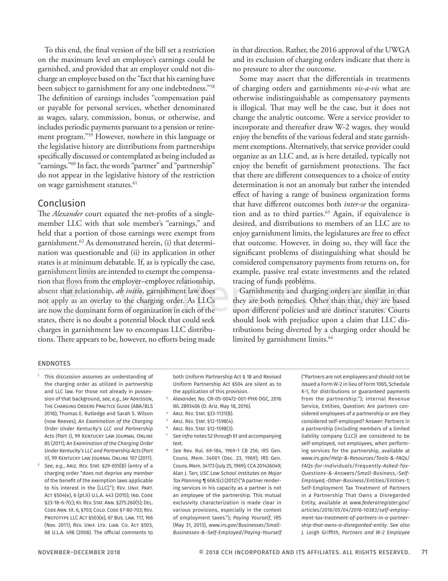To this end, the final version of the bill set a restriction on the maximum level an employee's earnings could be garnished, and provided that an employer could not discharge an employee based on the "fact that his earning have been subject to garnishment for any one indebtedness."58 The definition of earnings includes "compensation paid or payable for personal services, whether denominated as wages, salary, commission, bonus, or otherwise, and includes periodic payments pursuant to a pension or retirement program."59 However, nowhere in this language or the legislative history are distributions from partnerships specifically discussed or contemplated as being included as "earnings."60 In fact, the words "partner" and "partnership" do not appear in the legislative history of the restriction on wage garnishment statutes.<sup>61</sup>

#### Conclusion

The *Alexander* court equated the net-profits of a singlemember LLC with that sole member's "earnings," and held that a portion of those earnings were exempt from garnishment.62 As demonstrated herein, (i) that determination was questionable and (ii) its application in other states is at minimum debatable. If, as is typically the case, garnishment limits are intended to exempt the compensation that flows from the employer–employee relationship, absent that relationship, *ab initio*, garnishment law does not apply as an overlay to the charging order. As LLCs are now the dominant form of organization in each of the states, there is no doubt a potential block that could seek charges in garnishment law to encompass LLC distributions. There appears to be, however, no efforts being made in that direction. Rather, the 2016 approval of the UWGA and its exclusion of charging orders indicate that there is no pressure to alter the outcome.

Some may assert that the differentials in treatments of charging orders and garnishments *vis-a-vis* what are otherwise indistinguishable as compensatory payments is illogical. That may well be the case, but it does not change the analytic outcome. Were a service provider to incorporate and thereafter draw W-2 wages, they would enjoy the benefits of the various federal and state garnishment exemptions. Alternatively, that service provider could organize as an LLC and, as is here detailed, typically not enjoy the benefit of garnishment protections. The fact that there are different consequences to a choice of entity determination is not an anomaly but rather the intended effect of having a range of business organization forms that have different outcomes both *inter-se* the organization and as to third parties.<sup>63</sup> Again, if equivalence is desired, and distributions to members of an LLC are to enjoy garnishment limits, the legislatures are free to effect that outcome. However, in doing so, they will face the significant problems of distinguishing what should be considered compensatory payments from returns on, for example, passive real estate investments and the related tracing of funds problems.

Garnishments and charging orders are similar in that they are both remedies. Other than that, they are based upon different policies and are distinct statutes. Courts should look with prejudice upon a claim that LLC distributions being diverted by a charging order should be limited by garnishment limits.<sup>64</sup>

#### ENDNOTES

- <sup>1</sup> This discussion assumes an understanding of the charging order as utilized in partnership and LLC law. For those not already in possession of that background, *see*, *e.g*., Jay Adkisson, The Charging Orders Practice Guide (ABA/BLS 2018); Thomas E. Rutledge and Sarah S. Wilson (now Reeves), *An Examination of the Charging Order Under Kentucky's LLC and Partnership*  Acts (Part I), 99 KENTUCKY LAW JOURNAL ONLINE 85 (2011); *An Examination of the Charging Order Under Kentucky's LLC and Partnership Acts (Part II)*, 99 Kentucky Law Journal Online 107 (2011).
- <sup>2</sup> *See*, *e.g.*, Ariz. Rev. Stat. §29-655(B) (entry of a charging order "does not deprive any member of the benefit of the exemption laws applicable to his interest in the [LLC]."); Rev. Unif. Part. Act §504(e), 6 (pt.II) U.L.A. 443 (2015); Ind. Code §23-18-6-7(c); Ky. Rev. Stat. Ann. §275.260(5); Del. Code Ann. tit. 6, §703; Colo. Code §7-80-703; Rev. Prototype LLC Act §503(e), 67 Bus. Law. 117, 166 (Nov. 2011); Rev. Unif. Ltd. Liab. Co. Act §503, 68 U.L.A. 498 (2008). The official comments to

both Uniform Partnership Act § 18 and Revised Uniform Partnership Act §504 are silent as to the application of this provision.

- <sup>3</sup> *Alexander,* No. CR-05-00472-001-PHX-DGC, 2016 WL 2893406 (D. Ariz. May 18, 2016).
- ARIZ. REV. STAT. §33-1131(B).
- ARIZ. REV. STAT. §12-1598(4).
- <sup>6</sup> Ariz. Rev. Stat. §12-1598(3).
- <sup>7</sup> *See infra* notes 52 through 61 and accompanying text.
- <sup>8</sup> *See* Rev. Rul. 69-184, 1969-1 CB 256; IRS Gen. Couns. Mem. 34001 (Dec. 23, 1969); IRS Gen. Couns. Mem. 34173 (July 25, 1969); CCA 201436049; Alan J. Tarr, *USC Law School Institutes on Major Tax Planning* ¶ 606.1(c) (2012) ("A partner rendering services in his capacity as a partner is not an employee of the partnership. This mutual exclusivity characterization is made clear in various provisions, especially in the context of employment taxes."); *Paying Yourself*, IRS (May 31, 2013), *www.irs.gov/Businesses/Small-Businesses-&-Self-Employed/Paying-Yourself*

("Partners are not employees and should not be issued a Form W-2 in lieu of Form 1065, Schedule K-1, for distributions or guaranteed payments from the partnership."); Internal Revenue Service, Entities, Question: Are partners considered employees of a partnership or are they considered self-employed? Answer: Partners in a partnership (including members of a limited liability company (LLC)) are considered to be self-employed, not employees, when performing services for the partnership, available at *www.irs.gov/Help-&-Resources/Tools-&-FAQs/ FAQs-for-Individuals/Frequently-Asked-Tax-Questions-&-Answers/Small-Business,-Self-Employed,-Other-Business/Entities/Entities-1*; Self-Employment Tax Treatment of Partners in a Partnership That Owns a Disregarded Entity, available at *www.federalregister.gov/ articles/2016/05/04/2016-10383/self-employment-tax-treatment-of-partners-in-a-partnership-that-owns-a-disregarded-entity*. *See also* J. Leigh Griffith, *Partners and W-2 Employee*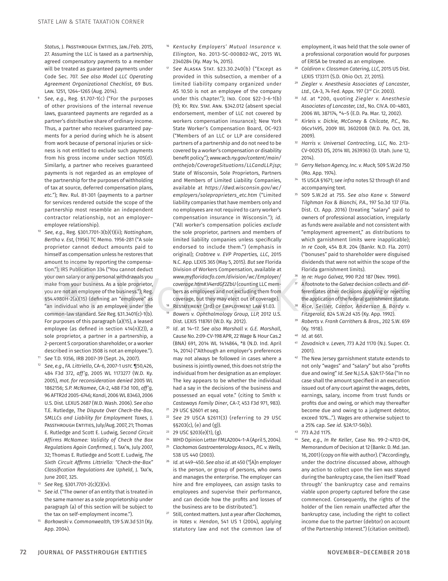*Status*, J. Passthrough Entities, Jan./Feb. 2015, 27. Assuming the LLC is taxed as a partnership, agreed compensatory payments to a member will be treated as guaranteed payments under Code Sec. 707. *See also Model LLC Operating Agreement Organizational Checklist*, 69 Bus. Law. 1251, 1264–1265 (Aug. 2014).

- <sup>9</sup> *See*, *e.g*., Reg. §1.707-1(c) ("For the purposes of other provisions of the internal revenue laws, guaranteed payments are regarded as a partner's distributive share of ordinary income. Thus, a partner who receives guaranteed payments for a period during which he is absent from work because of personal injuries or sickness is not entitled to exclude such payments from his gross income under section 105(d). Similarly, a partner who receives guaranteed payments is not regarded as an employee of the partnership for the purposes of withholding of tax at source, deferred compensation plans, *etc.*"); Rev. Rul. 81-301 (payments to a partner for services rendered outside the scope of the partnership most resemble an independent contractor relationship, not an employer– employee relationship).
- <sup>10</sup> *See*, *e.g*., Reg. §301.7701-3(b)(1)(ii); *Nottingham, Bertha v. Est*, (1956) TC Memo. 1956-281 ("A sole proprietor cannot deduct amounts paid to himself as compensation unless he restores that amount to income by reporting the compensation."); IRS Publication 334 ("You cannot deduct your own salary or any personal withdrawals you make from your business. As a sole proprietor, you are not an employee of the business."); Reg. §54.4980H-2(a)(15) (defining an "employee" as "an individual who is an employee under the common-law standard. *See* Reg. §31.3401(c)-1(b). For purposes of this paragraph (a)(15), a leased employee (as defined in section 414(n)(2)), a sole proprietor, a partner in a partnership, a 2-percent S corporation shareholder, or a worker described in section 3508 is not an employee."). <sup>11</sup> *See* T.D. 9356, IRB 2007-39 (Sept. 24, 2007).
- <sup>12</sup> *See*, *e.g*., *FA. Littriello*, CA-6, 2007-1 ustc ¶50,426, 484 F3d 372, *aff'g,* 2005 WL 1173277 (W.D. Ky. 2005), *mot. for reconsideration denied* 2005 WL 1862156; *S.P. McNamee*, CA-2, 488 F3d 100, *aff'g,* 96 AFTR2d 2005-6746; *Kandi*, 2006 WL 83463, 2006 U.S. Dist. LEXUS 2687 (W.D. Wash. 2006). *See also* T.E. Rutledge, *The Dispute Over Check-the-Box, SMLLCs and Liability for Employment Taxes*, J. PASSTHROUGH ENTITIES, July/Aug. 2007, 21; Thomas E. Rutledge and Scott E. Ludwig, *Second Circuit Affirms McNamee: Validity of Check the Box Regulations Again Confirmed*, J. Tax'n, July 2007, 32; Thomas E. Rutledge and Scott E. Ludwig, *The Sixth Circuit Affirms Littriello: "Check-the-Box" Classification Regulations Are Upheld*, J. Tax'n, June 2007, 325.
- See Reg. §301.7701-2(c)(2)(iv).
- See id. ("The owner of an entity that is treated in the same manner as a sole proprietorship under paragraph (a) of this section will be subject to the tax on self-employment income.").
- <sup>15</sup> *Borkowski v. Commonwealth,* 139 S.W.3d 531 (Ky. App. 2004).
- <sup>16</sup> *Kentucky Employers' Mutual Insurance v. Ellington,* No. 2013-SC-000802-WC, 2015 WL 2340284 (Ky. May 14, 2015).
- <sup>17</sup> *See* Alaska Stat. §23.30.240(b) ("Except as provided in this subsection, a member of a limited liability company organized under AS 10.50 is not an employee of the company under this chapter."); IND. CODE §22-3-6-1(b) (9); Ky. Rev. Stat. Ann. §342.012 (absent special endorsement, member of LLC not covered by workers compensation insurance); New York State Worker's Compensation Board, OC-923 ("Members of an LLC or LLP are considered partners of a partnership and do not need to be covered by a worker's compensation or disability benefit policy."); *www.wcb.ny.gov/content/main/ onthejob/CoverageSituations/LLCandLLP.jsp*; State of Wisconsin, Sole Proprietors, Partners and Members of Limited Liability Companies, available at *https://dwd.wisconsin.gov/wc/ employers/soleproprieters\_etc.htm* ("Limited liability companies that have members only and no employees are not required to carry worker's compensation insurance in Wisconsin."); *id*. ("All worker's compensation policies *exclude* the sole proprietor, partners and members of limited liability companies unless specifically endorsed to include them.") (emphasis in original); *Crabtree v. EVP Properties, LLC*, 2015 N.C. App. LEXIS 365 (May 5, 2015). *But see* Florida Division of Workers Compensation, available at *www.myfloridacfo.com/division/wc/Employer/ coverage.htm#.V4erdGf2ZbU* (counting LLC members as employees and not excluding them from coverage, but they may elect out of coverage).
- RESTATEMENT (3rd) OF EMPLOYMENT LAW §1.03. <sup>19</sup> *Bowers v. Ophthalmology Group, LLP,* 2012 U.S. Dist. LEXIS 118761 (W.D. Ky. 2012).
- <sup>20</sup> *Id*. at 14–17. *See also Marshall v. G.E. Marshall*, Cause No. 2:09-CV-198 APR, 22 Wage & Hour Cas.2 (BNA) 691, 2014 WL 1414864, \*8 (N.D. Ind. April 14, 2014) ("Although an employer's preferences may not always be followed in cases where a business is jointly owned, this does not strip the individual from her designation as an employer. The key appears to be whether the individual had a say in the decisions of the business and possessed an equal vote." (citing to *Smith v. Castaways Family Diner*, CA-7, 453 F3d 971, 983). <sup>21</sup> 29 USC §2601 *et seq*.
- <sup>22</sup> *See* 29 USCA §2611(3) (referring to 29 USC  $§§203(c)$ , (e) and (g)).
- <sup>23</sup> 29 USC §203(e)(1), (g).
- <sup>24</sup> WHD Opinion Letter FMLA2004-1-A (April 5, 2004).
- <sup>25</sup> *Clackamas Gastroenterology Assocs., P.C. v. Wells,* 538 US 440 (2003).
- <sup>26</sup> *Id.* at 449–450. *See also id*. at 450 ("[A]n employer is the person, or group of persons, who owns and manages the enterprise. The employer can hire and fire employees, can assign tasks to employees and supervise their performance, and can decide how the profits and losses of the business are to be distributed.").
- <sup>27</sup> Still, context matters. Just a year after *Clackamas*, in *Yates v. Hendon*, 541 US 1 (2004), applying statutory law and not the common law of

employment, it was held that the sole owner of a professional corporation would for purposes of ERISA be treated as an employee.

- <sup>28</sup> *Coldiron v. Clossman Catering, LLC,* 2015 US Dist. LEXIS 173311 (S.D. Ohio Oct. 27, 2015).
- <sup>29</sup> *Ziegler v. Anesthesia Associates of Lancaster*, *Ltd.*, CA-3, 74 Fed. Appx. 197 (3rd Cir. 2003).
- <sup>30</sup> *Id.* at \*200, quoting *Ziegler v. Anesthesia Associates of Lancaster, Ltd*., No. CIV.A. 00-4803, 2006 WL 387174*,* \*4–5 (E.D. Pa. Mar. 12, 2002).
- <sup>31</sup> *Kirleis v. Dickie, McConey & Chilcate, P.C*., No. 06cv1495, 2009 WL 3602008 (W.D. Pa. Oct. 28, 2009).
- <sup>32</sup> *Harris v. Universal Contracting, LLC,* No. 2:13- CV-00253 DS, 2014 WL 2639363 (D. Utah. June 12, 2014).
- <sup>33</sup> *Gerry Nelson Agency, Inc. v. Muck,* 509 S.W.2d 750 (Mo. App. 1974).
- <sup>34</sup> 15 USCA §1671; *see infra* notes 52 through 61 and accompanying text.
- <sup>35</sup> 509 S.W.2d at 755. *See also Kane v. Steward Tilghman Fox & Bianchi, P.A.*, 197 So.3d 137 (Fla. Dist. Ct. App. 2016) (treating "salary" paid to owners of professional association, irregularly as funds were available and not consistent with "employment agreement," as distributions to which garnishment limits were inapplicable); *In re Cook*, 454 B.R. 204 (Bankr. N.D. Fla. 2011) ("bonuses" paid to shareholder were disguised dividends that were not within the scope of the Florida garnishment limits).
- <sup>36</sup> *In re: Hugo Galvez,* 990 P.2d 187 (Nev. 1990). <sup>37</sup> A footnote to the *Galvez* decision collects and differentiates other decisions applying or rejecting the application of the federal garnishment statute.
- <sup>38</sup> *Rice, Seiller, Cantor, Anderson & Bordy v. Fitzgerald,* 824 S.W.2d 435 (Ky. App. 1992).
- <sup>39</sup> *Roberts v. Frank Carrithers & Bros.,* 202 S.W. 659 (Ky. 1918).
- <sup>40</sup> *Id.* at 661.
- <sup>41</sup> *Zavodnick v. Leven,* 773 A.2d 1170 (N.J. Super. Ct. 2001).
- 42 The New Jersey garnishment statute extends to not only "wages" and "salary" but also "profits due and owing" *Id*. *See* N.J.S.A. §2A:17-56a ("In no case shall the amount specified in an execution issued out of any court against the wages, debts, earnings, salary, income from trust funds or profits due and owing, or which may thereafter become due and owing to a judgment debtor, exceed 10%..."). Wages are otherwise subject to a 25% cap. *See id*. §2A:17-56(b).
- <sup>43</sup> 773 A.2d 1175.
- <sup>44</sup> *See*, *e.g*., *In Re Keller*, Case No. 99-2-4703-DK, Memorandum of Decision at 12 (Bankr. D. Md. Jan. 16, 2001) (copy on file with author). ("Accordingly, under the doctrine discussed above, although any action to collect upon the lien was stayed during the bankruptcy case, the lien itself 'Road through' the bankruptcy case and remains viable upon property captured before the case commenced. Consequently, the rights of the holder of the lien remain unaffected after the bankruptcy case, including the right to collect income due to the partner (debtor) on account of the Partnership Interest.") (citation omitted).